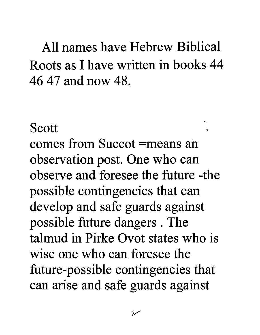All names have Hebrew Biblical Roots as I have written in books 44 46 47 and now 48.

Scott

comes from Succot =means an observation post. One who can observe and foresee the future -the possible contingencies that can develop and safe guards against possible future dangers . The talmud in Pirke Ovot states who is wise one who can foresee the future-possible contingencies that can arise and safe guards against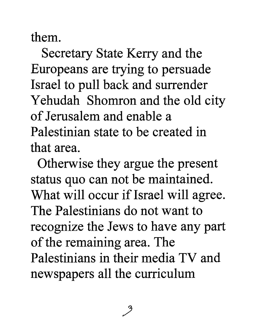them.

Secretary State Kerry and the Europeans are trying to persuade Israel to pull back and surrender Yehudah Shomron and the old city of Jerusalem and enable a Palestinian state to be created in that area.

Otherwise they argue the present status quo can not be maintained. What will occur if Israel will agree. The Palestinians do not want to recognize the Jews to have any part of the remaining area. The Palestinians in their media TV and newspapers all the curriculum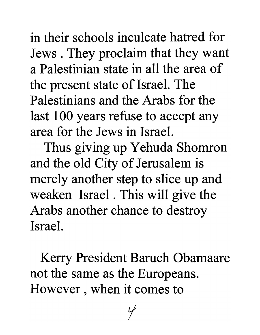in their schools inculcate hatred for Jews. They proclaim that they want a Palestinian state in all the area of the present state of Israel. The Palestinians and the Arabs for the last 100 years refuse to accept any area for the Jews in Israel.

Thus giving up Yehuda Shomron and the old City of Jerusalem is merely another step to slice up and weaken Israel. This will give the Arabs another chance to destroy Israel.

Kerry President Baruch Obamaare not the same as the Europeans. However , when it comes to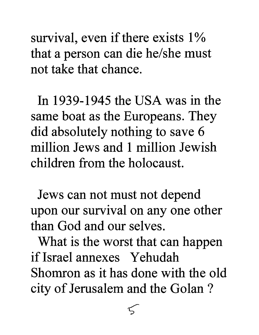survival, even if there exists  $1\%$ that a person can die he/she must not take that chance.

In 1939-1945 the USA was in the same boat as the Europeans. They did absolutely nothing to save 6 million Jews and 1 million Jewish children from the holocaust.

Jews can not must not depend upon our survival on anyone other than God and our selves.

What is the worst that can happen if Israel annexes Yehudah Shomron as it has done with the old city of Jerusalem and the Golan?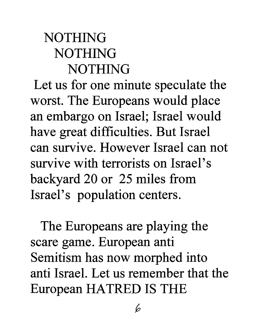## NOTHING NOTHING NOTHING

Let us for one minute speculate the worst. The Europeans would place an embargo on Israel; Israel would have great difficulties. But Israel can survive. However Israel can not survive with terrorists on Israel's backyard 20 or 25 miles from Israel's population centers.

The Europeans are playing the scare game. European anti Semitism has now morphed into anti Israel. Let us remember that the European HATRED IS THE